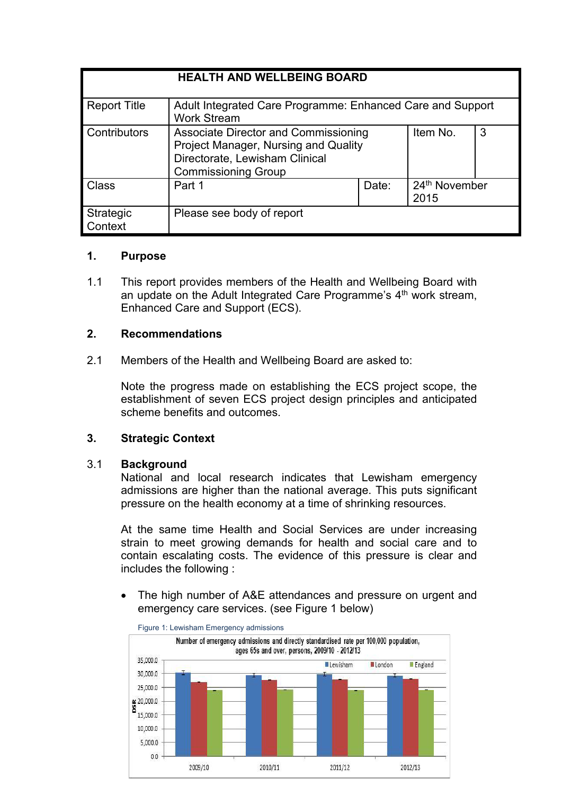| <b>HEALTH AND WELLBEING BOARD</b> |                                                                                                                                              |       |                                   |   |
|-----------------------------------|----------------------------------------------------------------------------------------------------------------------------------------------|-------|-----------------------------------|---|
| <b>Report Title</b>               | Adult Integrated Care Programme: Enhanced Care and Support<br><b>Work Stream</b>                                                             |       |                                   |   |
| <b>Contributors</b>               | Associate Director and Commissioning<br>Project Manager, Nursing and Quality<br>Directorate, Lewisham Clinical<br><b>Commissioning Group</b> |       | Item No.                          | 3 |
| Class                             | Part 1                                                                                                                                       | Date: | 24 <sup>th</sup> November<br>2015 |   |
| Strategic<br>ontext               | Please see body of report                                                                                                                    |       |                                   |   |

#### **1. Purpose**

1.1 This report provides members of the Health and Wellbeing Board with an update on the Adult Integrated Care Programme's 4<sup>th</sup> work stream, Enhanced Care and Support (ECS).

## **2. Recommendations**

2.1 Members of the Health and Wellbeing Board are asked to:

Note the progress made on establishing the ECS project scope, the establishment of seven ECS project design principles and anticipated scheme benefits and outcomes.

## **3. Strategic Context**

#### 3.1 **Background**

National and local research indicates that Lewisham emergency admissions are higher than the national average. This puts significant pressure on the health economy at a time of shrinking resources.

At the same time Health and Social Services are under increasing strain to meet growing demands for health and social care and to contain escalating costs. The evidence of this pressure is clear and includes the following :

 The high number of A&E attendances and pressure on urgent and emergency care services. (see Figure 1 below)



Figure 1: Lewisham Emergency admissions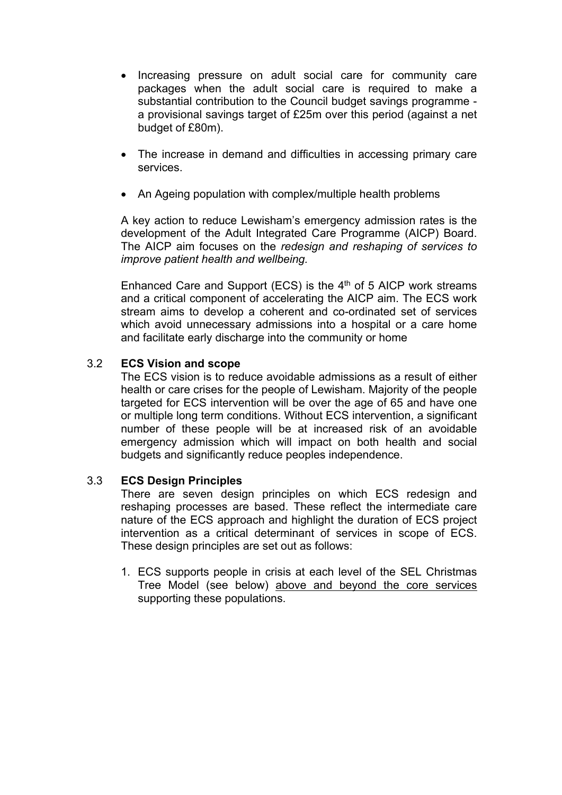- Increasing pressure on adult social care for community care packages when the adult social care is required to make a substantial contribution to the Council budget savings programme a provisional savings target of £25m over this period (against a net budget of £80m).
- The increase in demand and difficulties in accessing primary care services.
- An Ageing population with complex/multiple health problems

A key action to reduce Lewisham's emergency admission rates is the development of the Adult Integrated Care Programme (AICP) Board. The AICP aim focuses on the *redesign and reshaping of services to improve patient health and wellbeing.*

Enhanced Care and Support (ECS) is the  $4<sup>th</sup>$  of 5 AICP work streams and a critical component of accelerating the AICP aim. The ECS work stream aims to develop a coherent and co-ordinated set of services which avoid unnecessary admissions into a hospital or a care home and facilitate early discharge into the community or home

## 3.2 **ECS Vision and scope**

The ECS vision is to reduce avoidable admissions as a result of either health or care crises for the people of Lewisham. Majority of the people targeted for ECS intervention will be over the age of 65 and have one or multiple long term conditions. Without ECS intervention, a significant number of these people will be at increased risk of an avoidable emergency admission which will impact on both health and social budgets and significantly reduce peoples independence.

#### 3.3 **ECS Design Principles**

There are seven design principles on which ECS redesign and reshaping processes are based. These reflect the intermediate care nature of the ECS approach and highlight the duration of ECS project intervention as a critical determinant of services in scope of ECS. These design principles are set out as follows:

1. ECS supports people in crisis at each level of the SEL Christmas Tree Model (see below) above and beyond the core services supporting these populations.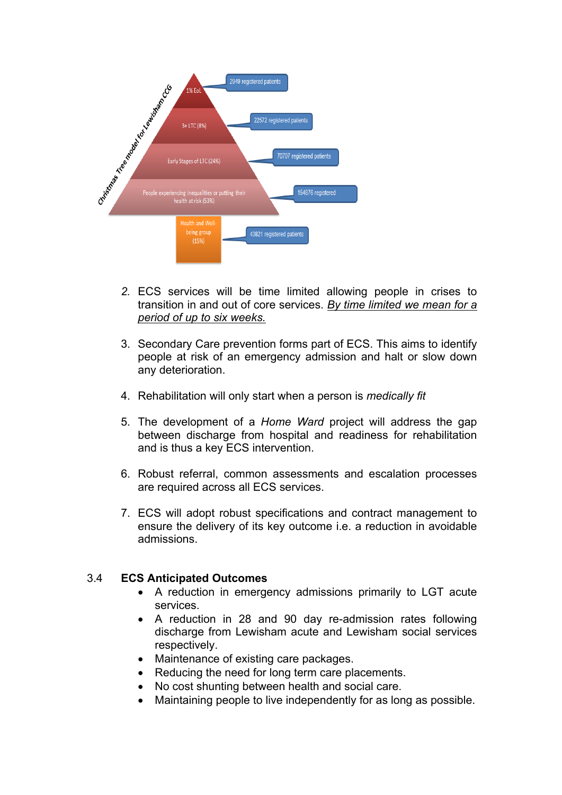

- *2.* ECS services will be time limited allowing people in crises to transition in and out of core services. *By time limited we mean for a period of up to six weeks.*
- 3. Secondary Care prevention forms part of ECS. This aims to identify people at risk of an emergency admission and halt or slow down any deterioration.
- 4. Rehabilitation will only start when a person is *medically fit*
- 5. The development of a *Home Ward* project will address the gap between discharge from hospital and readiness for rehabilitation and is thus a key ECS intervention.
- 6. Robust referral, common assessments and escalation processes are required across all ECS services.
- 7. ECS will adopt robust specifications and contract management to ensure the delivery of its key outcome i.e. a reduction in avoidable admissions.

## 3.4 **ECS Anticipated Outcomes**

- A reduction in emergency admissions primarily to LGT acute services.
- A reduction in 28 and 90 day re-admission rates following discharge from Lewisham acute and Lewisham social services respectively.
- Maintenance of existing care packages.
- Reducing the need for long term care placements.
- No cost shunting between health and social care.
- Maintaining people to live independently for as long as possible.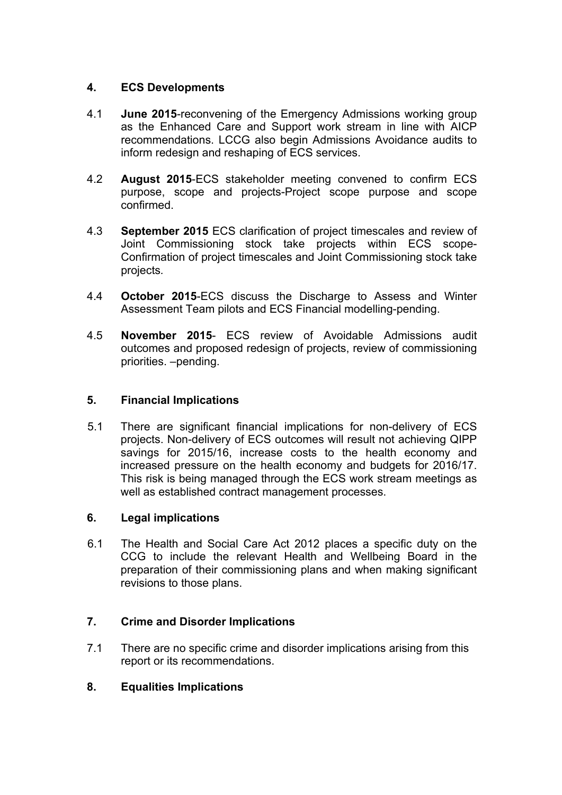## **4. ECS Developments**

- 4.1 **June 2015**-reconvening of the Emergency Admissions working group as the Enhanced Care and Support work stream in line with AICP recommendations. LCCG also begin Admissions Avoidance audits to inform redesign and reshaping of ECS services.
- 4.2 **August 2015**-ECS stakeholder meeting convened to confirm ECS purpose, scope and projects-Project scope purpose and scope confirmed.
- 4.3 **September 2015** ECS clarification of project timescales and review of Joint Commissioning stock take projects within ECS scope-Confirmation of project timescales and Joint Commissioning stock take projects*.*
- 4.4 **October 2015**-ECS discuss the Discharge to Assess and Winter Assessment Team pilots and ECS Financial modelling-pending.
- 4.5 **November 2015** ECS review of Avoidable Admissions audit outcomes and proposed redesign of projects, review of commissioning priorities. –pending.

## **5. Financial Implications**

5.1 There are significant financial implications for non-delivery of ECS projects. Non-delivery of ECS outcomes will result not achieving QIPP savings for 2015/16, increase costs to the health economy and increased pressure on the health economy and budgets for 2016/17. This risk is being managed through the ECS work stream meetings as well as established contract management processes.

## **6. Legal implications**

6.1 The Health and Social Care Act 2012 places a specific duty on the CCG to include the relevant Health and Wellbeing Board in the preparation of their commissioning plans and when making significant revisions to those plans.

# **7. Crime and Disorder Implications**

7.1 There are no specific crime and disorder implications arising from this report or its recommendations.

# **8. Equalities Implications**